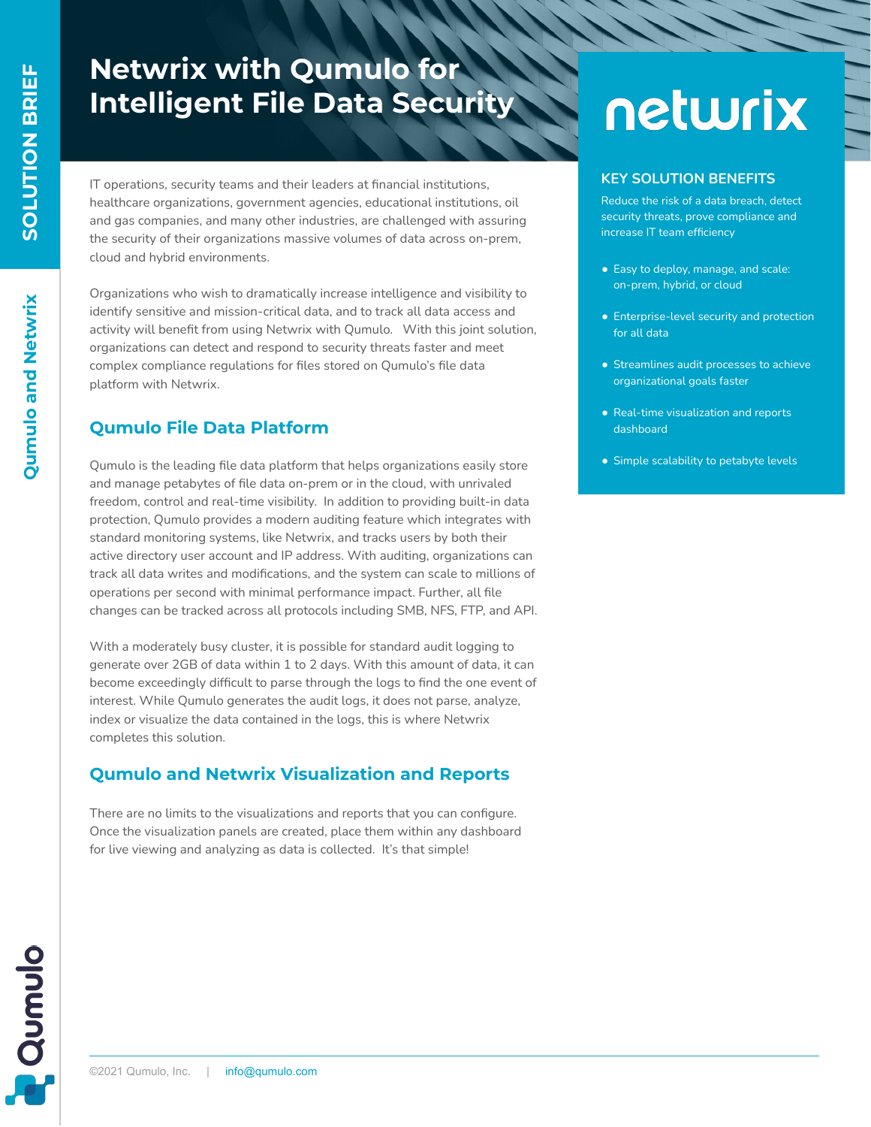**Qumulo and Netwrix**

Qumulo and Netwrix

# **Netwrix with Qumulo for Intelligent File Data Security**

IT operations, security teams and their leaders at financial institutions, healthcare organizations, government agencies, educational institutions, oil and gas companies, and many other industries, are challenged with assuring the security of their organizations massive volumes of data across on-prem, cloud and hybrid environments.

Organizations who wish to dramatically increase intelligence and visibility to identify sensitive and mission-critical data, and to track all data access and activity will benefit from using Netwrix with Qumulo. With this joint solution, organizations can detect and respond to security threats faster and meet complex compliance regulations for files stored on Qumulo's file data platform with Netwrix.

## **Qumulo File Data Platform**

Qumulo is the leading file data platform that helps organizations easily store and manage petabytes of file data on-prem or in the cloud, with unrivaled freedom, control and real-time visibility. In addition to providing built-in data protection, Qumulo provides a modern auditing feature which integrates with standard monitoring systems, like Netwrix, and tracks users by both their active directory user account and IP address. With auditing, organizations can track all data writes and modifications, and the system can scale to millions of operations per second with minimal performance impact. Further, all file changes can be tracked across all protocols including SMB, NFS, FTP, and API.

With a moderately busy cluster, it is possible for standard audit logging to generate over 2GB of data within 1 to 2 days. With this amount of data, it can become exceedingly difficult to parse through the logs to find the one event of interest. While Qumulo generates the audit logs, it does not parse, analyze, index or visualize the data contained in the logs, this is where Netwrix completes this solution.

# **Qumulo and Netwrix Visualization and Reports**

There are no limits to the visualizations and reports that you can configure. Once the visualization panels are created, place them within any dashboard for live viewing and analyzing as data is collected. It's that simple!

# netwrix

#### **KEY SOLUTION BENEFITS**

Reduce the risk of a data breach, detect security threats, prove compliance and increase IT team efficiency

- Easy to deploy, manage, and scale: on-prem, hybrid, or cloud
- Enterprise-level security and protection for all data
- Streamlines audit processes to achieve organizational goals faster
- Real-time visualization and reports dashboard
- Simple scalability to petabyte levels